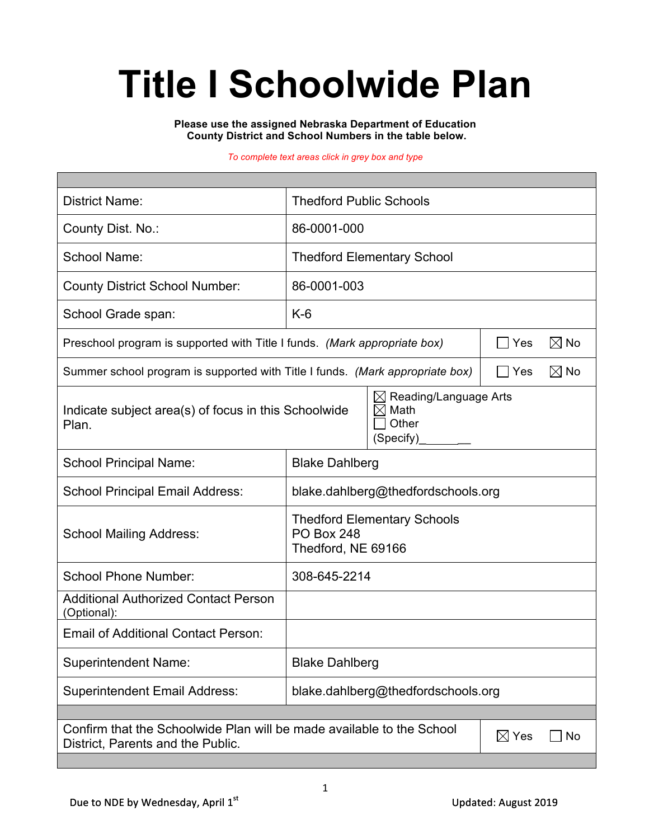# **Title I Schoolwide Plan**

**Please use the assigned Nebraska Department of Education County District and School Numbers in the table below.**

*To complete text areas click in grey box and type*

| <b>District Name:</b>                                                                                                               | <b>Thedford Public Schools</b>                                                |  |  |  |  |
|-------------------------------------------------------------------------------------------------------------------------------------|-------------------------------------------------------------------------------|--|--|--|--|
| County Dist. No.:                                                                                                                   | 86-0001-000                                                                   |  |  |  |  |
| School Name:                                                                                                                        | <b>Thedford Elementary School</b>                                             |  |  |  |  |
| <b>County District School Number:</b>                                                                                               | 86-0001-003                                                                   |  |  |  |  |
| School Grade span:                                                                                                                  | $K-6$                                                                         |  |  |  |  |
| Preschool program is supported with Title I funds. (Mark appropriate box)                                                           | $\boxtimes$ No<br>Yes                                                         |  |  |  |  |
| $\boxtimes$ No<br>Summer school program is supported with Title I funds. (Mark appropriate box)<br>  Yes                            |                                                                               |  |  |  |  |
| Indicate subject area(s) of focus in this Schoolwide<br>Plan.                                                                       | Reading/Language Arts<br>⊠<br>$\boxtimes$<br>Math<br>Other<br>(Specify)       |  |  |  |  |
| <b>School Principal Name:</b>                                                                                                       | <b>Blake Dahlberg</b>                                                         |  |  |  |  |
| <b>School Principal Email Address:</b>                                                                                              | blake.dahlberg@thedfordschools.org                                            |  |  |  |  |
| <b>School Mailing Address:</b>                                                                                                      | <b>Thedford Elementary Schools</b><br><b>PO Box 248</b><br>Thedford, NE 69166 |  |  |  |  |
| <b>School Phone Number:</b>                                                                                                         | 308-645-2214                                                                  |  |  |  |  |
| <b>Additional Authorized Contact Person</b><br>(Optional):                                                                          |                                                                               |  |  |  |  |
| <b>Email of Additional Contact Person:</b>                                                                                          |                                                                               |  |  |  |  |
| <b>Superintendent Name:</b>                                                                                                         | <b>Blake Dahlberg</b>                                                         |  |  |  |  |
| <b>Superintendent Email Address:</b>                                                                                                | blake.dahlberg@thedfordschools.org                                            |  |  |  |  |
|                                                                                                                                     |                                                                               |  |  |  |  |
| Confirm that the Schoolwide Plan will be made available to the School<br>$\boxtimes$ Yes<br>No<br>District, Parents and the Public. |                                                                               |  |  |  |  |
|                                                                                                                                     |                                                                               |  |  |  |  |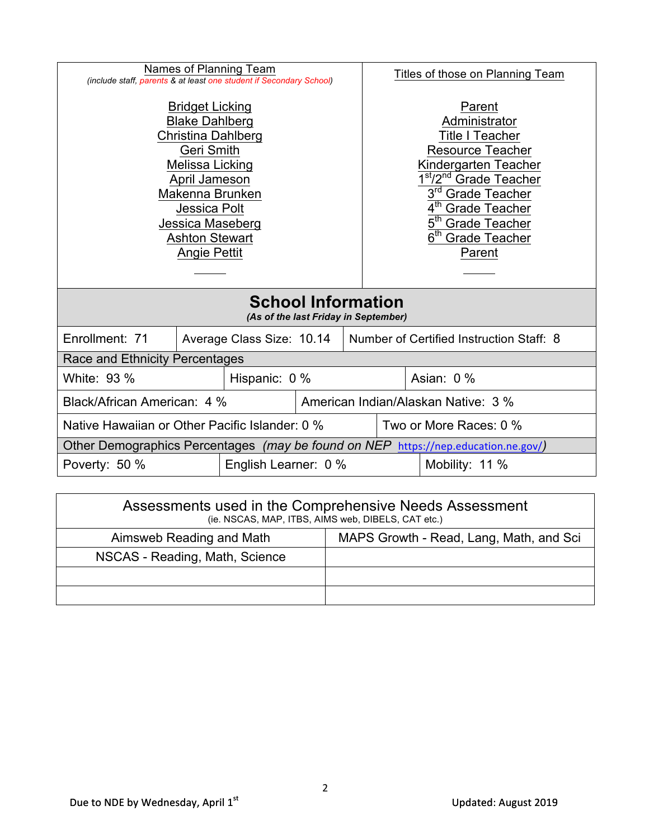| Names of Planning Team<br>(include staff, parents & at least one student if Secondary School)                                                                                                                                                       |                                       |                           |  | Titles of those on Planning Team    |                                                                                                                                                                                                                                                                                                    |                        |
|-----------------------------------------------------------------------------------------------------------------------------------------------------------------------------------------------------------------------------------------------------|---------------------------------------|---------------------------|--|-------------------------------------|----------------------------------------------------------------------------------------------------------------------------------------------------------------------------------------------------------------------------------------------------------------------------------------------------|------------------------|
| <b>Bridget Licking</b><br><b>Blake Dahlberg</b><br><b>Christina Dahlberg</b><br><b>Geri Smith</b><br>Melissa Licking<br>April Jameson<br>Makenna Brunken<br><b>Jessica Polt</b><br>Jessica Maseberg<br><b>Ashton Stewart</b><br><b>Angie Pettit</b> |                                       |                           |  |                                     | Parent<br>Administrator<br><b>Title I Teacher</b><br><b>Resource Teacher</b><br>Kindergarten Teacher<br><sup>st</sup> /2 <sup>nd</sup> Grade Teacher<br>3 <sup>rd</sup> Grade Teacher<br>4 <sup>th</sup> Grade Teacher<br>5 <sup>th</sup> Grade Teacher<br>6 <sup>th</sup> Grade Teacher<br>Parent |                        |
| <b>School Information</b><br>(As of the last Friday in September)                                                                                                                                                                                   |                                       |                           |  |                                     |                                                                                                                                                                                                                                                                                                    |                        |
| Enrollment: 71                                                                                                                                                                                                                                      |                                       | Average Class Size: 10.14 |  |                                     | Number of Certified Instruction Staff: 8                                                                                                                                                                                                                                                           |                        |
| Race and Ethnicity Percentages                                                                                                                                                                                                                      |                                       |                           |  |                                     |                                                                                                                                                                                                                                                                                                    |                        |
| White: 93 %                                                                                                                                                                                                                                         |                                       | Hispanic: 0 %             |  |                                     | Asian: 0 %                                                                                                                                                                                                                                                                                         |                        |
| Black/African American: 4 %                                                                                                                                                                                                                         |                                       |                           |  | American Indian/Alaskan Native: 3 % |                                                                                                                                                                                                                                                                                                    |                        |
| Native Hawaiian or Other Pacific Islander: 0 %                                                                                                                                                                                                      |                                       |                           |  |                                     |                                                                                                                                                                                                                                                                                                    | Two or More Races: 0 % |
| Other Demographics Percentages (may be found on NEP https://nep.education.ne.gov/)                                                                                                                                                                  |                                       |                           |  |                                     |                                                                                                                                                                                                                                                                                                    |                        |
|                                                                                                                                                                                                                                                     | Poverty: 50 %<br>English Learner: 0 % |                           |  | Mobility: 11 %                      |                                                                                                                                                                                                                                                                                                    |                        |
|                                                                                                                                                                                                                                                     |                                       |                           |  |                                     |                                                                                                                                                                                                                                                                                                    |                        |

| Assessments used in the Comprehensive Needs Assessment<br>(ie. NSCAS, MAP, ITBS, AIMS web, DIBELS, CAT etc.) |                                         |  |  |  |  |
|--------------------------------------------------------------------------------------------------------------|-----------------------------------------|--|--|--|--|
| Aimsweb Reading and Math                                                                                     | MAPS Growth - Read, Lang, Math, and Sci |  |  |  |  |
| NSCAS - Reading, Math, Science                                                                               |                                         |  |  |  |  |
|                                                                                                              |                                         |  |  |  |  |
|                                                                                                              |                                         |  |  |  |  |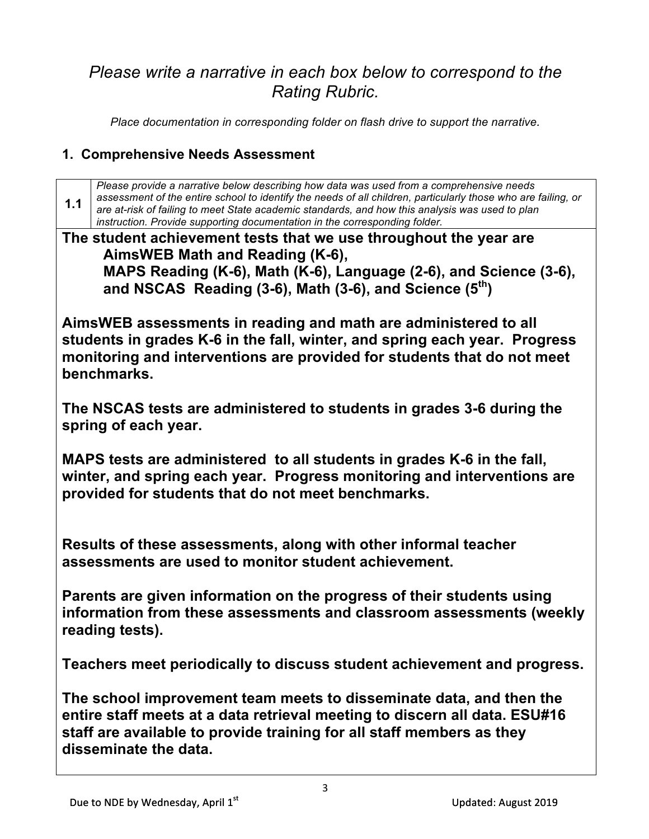## *Please write a narrative in each box below to correspond to the Rating Rubric.*

*Place documentation in corresponding folder on flash drive to support the narrative.*

#### **1. Comprehensive Needs Assessment**

3 **1.1** *Please provide a narrative below describing how data was used from a comprehensive needs assessment of the entire school to identify the needs of all children, particularly those who are failing, or are at-risk of failing to meet State academic standards, and how this analysis was used to plan instruction. Provide supporting documentation in the corresponding folder.* **The student achievement tests that we use throughout the year are AimsWEB Math and Reading (K-6), MAPS Reading (K-6), Math (K-6), Language (2-6), and Science (3-6), and NSCAS Reading (3-6), Math (3-6), and Science (5th) AimsWEB assessments in reading and math are administered to all students in grades K-6 in the fall, winter, and spring each year. Progress monitoring and interventions are provided for students that do not meet benchmarks. The NSCAS tests are administered to students in grades 3-6 during the spring of each year. MAPS tests are administered to all students in grades K-6 in the fall, winter, and spring each year. Progress monitoring and interventions are provided for students that do not meet benchmarks. Results of these assessments, along with other informal teacher assessments are used to monitor student achievement. Parents are given information on the progress of their students using information from these assessments and classroom assessments (weekly reading tests). Teachers meet periodically to discuss student achievement and progress. The school improvement team meets to disseminate data, and then the entire staff meets at a data retrieval meeting to discern all data. ESU#16 staff are available to provide training for all staff members as they disseminate the data.**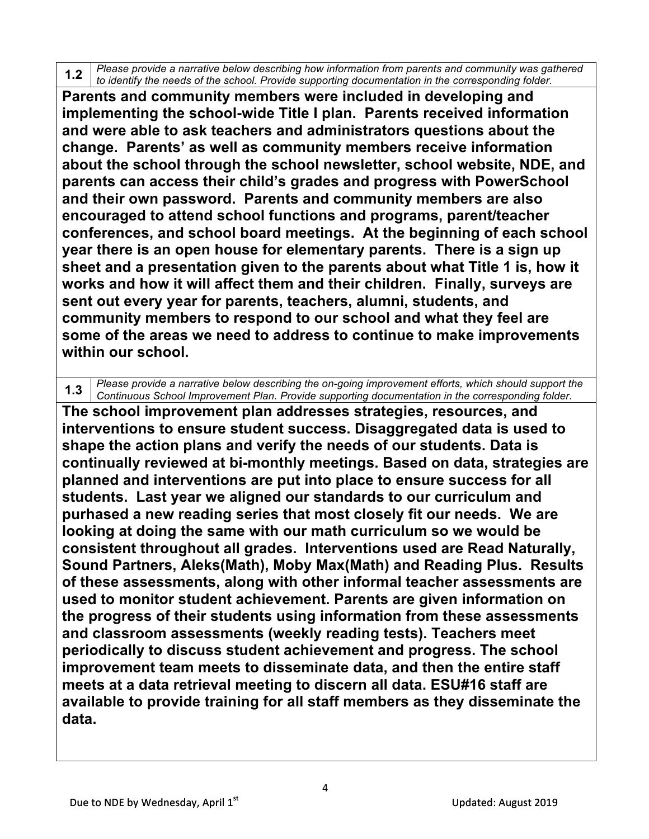**1.2** *Please provide a narrative below describing how information from parents and community was gathered to identify the needs of the school. Provide supporting documentation in the corresponding folder.*

**Parents and community members were included in developing and implementing the school-wide Title I plan. Parents received information and were able to ask teachers and administrators questions about the change. Parents' as well as community members receive information about the school through the school newsletter, school website, NDE, and parents can access their child's grades and progress with PowerSchool and their own password. Parents and community members are also encouraged to attend school functions and programs, parent/teacher conferences, and school board meetings. At the beginning of each school year there is an open house for elementary parents. There is a sign up sheet and a presentation given to the parents about what Title 1 is, how it works and how it will affect them and their children. Finally, surveys are sent out every year for parents, teachers, alumni, students, and community members to respond to our school and what they feel are some of the areas we need to address to continue to make improvements within our school.**

**1.3** *Please provide a narrative below describing the on-going improvement efforts, which should support the*<br>Continuous School Improvement Plan, Provide currenting designation in the corresponding folder. *Continuous School Improvement Plan. Provide supporting documentation in the corresponding folder.*

**The school improvement plan addresses strategies, resources, and interventions to ensure student success. Disaggregated data is used to shape the action plans and verify the needs of our students. Data is continually reviewed at bi-monthly meetings. Based on data, strategies are planned and interventions are put into place to ensure success for all students. Last year we aligned our standards to our curriculum and purhased a new reading series that most closely fit our needs. We are looking at doing the same with our math curriculum so we would be consistent throughout all grades. Interventions used are Read Naturally, Sound Partners, Aleks(Math), Moby Max(Math) and Reading Plus. Results of these assessments, along with other informal teacher assessments are used to monitor student achievement. Parents are given information on the progress of their students using information from these assessments and classroom assessments (weekly reading tests). Teachers meet periodically to discuss student achievement and progress. The school improvement team meets to disseminate data, and then the entire staff meets at a data retrieval meeting to discern all data. ESU#16 staff are available to provide training for all staff members as they disseminate the data.**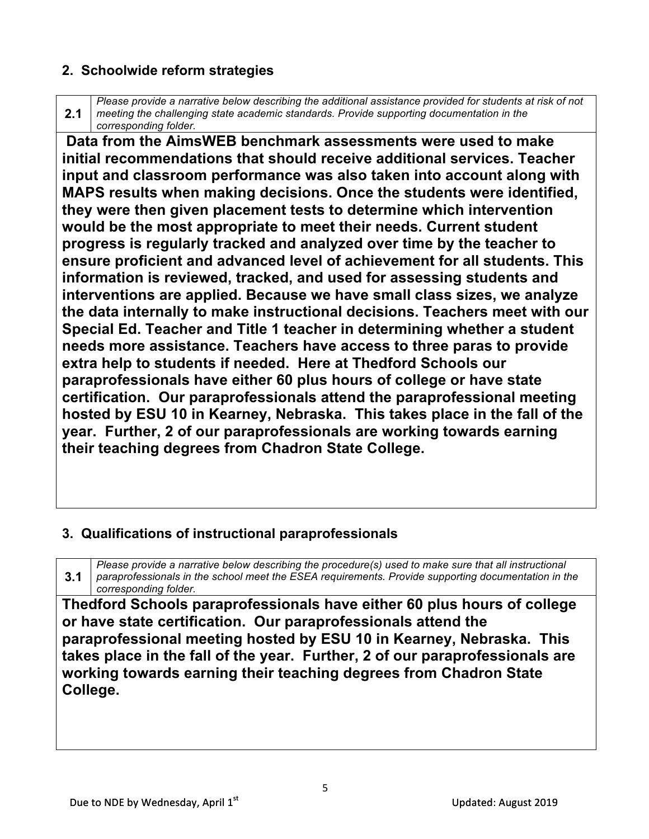#### **2. Schoolwide reform strategies**

**2.1** *Please provide a narrative below describing the additional assistance provided for students at risk of not meeting the challenging state academic standards. Provide supporting documentation in the corresponding folder.*

**Data from the AimsWEB benchmark assessments were used to make initial recommendations that should receive additional services. Teacher input and classroom performance was also taken into account along with MAPS results when making decisions. Once the students were identified, they were then given placement tests to determine which intervention would be the most appropriate to meet their needs. Current student progress is regularly tracked and analyzed over time by the teacher to ensure proficient and advanced level of achievement for all students. This information is reviewed, tracked, and used for assessing students and interventions are applied. Because we have small class sizes, we analyze the data internally to make instructional decisions. Teachers meet with our Special Ed. Teacher and Title 1 teacher in determining whether a student needs more assistance. Teachers have access to three paras to provide extra help to students if needed. Here at Thedford Schools our paraprofessionals have either 60 plus hours of college or have state certification. Our paraprofessionals attend the paraprofessional meeting hosted by ESU 10 in Kearney, Nebraska. This takes place in the fall of the year. Further, 2 of our paraprofessionals are working towards earning their teaching degrees from Chadron State College.** 

#### **3. Qualifications of instructional paraprofessionals**

**3.1** *Please provide a narrative below describing the procedure(s) used to make sure that all instructional paraprofessionals in the school meet the ESEA requirements. Provide supporting documentation in the corresponding folder.*

**Thedford Schools paraprofessionals have either 60 plus hours of college or have state certification. Our paraprofessionals attend the paraprofessional meeting hosted by ESU 10 in Kearney, Nebraska. This takes place in the fall of the year. Further, 2 of our paraprofessionals are working towards earning their teaching degrees from Chadron State College.**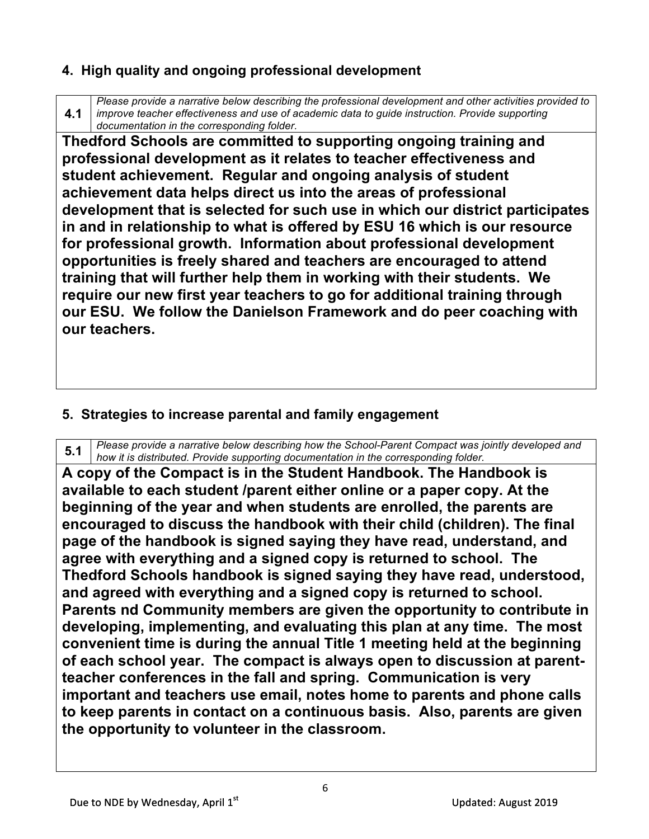#### **4. High quality and ongoing professional development**

**4.1** *Please provide a narrative below describing the professional development and other activities provided to improve teacher effectiveness and use of academic data to guide instruction. Provide supporting documentation in the corresponding folder.*

**Thedford Schools are committed to supporting ongoing training and professional development as it relates to teacher effectiveness and student achievement. Regular and ongoing analysis of student achievement data helps direct us into the areas of professional development that is selected for such use in which our district participates in and in relationship to what is offered by ESU 16 which is our resource for professional growth. Information about professional development opportunities is freely shared and teachers are encouraged to attend training that will further help them in working with their students. We require our new first year teachers to go for additional training through our ESU. We follow the Danielson Framework and do peer coaching with our teachers.**

#### **5. Strategies to increase parental and family engagement**

**5.1** *Please provide a narrative below describing how the School-Parent Compact was jointly developed and how it is distributed. Provide supporting documentation in the corresponding folder.*

**A copy of the Compact is in the Student Handbook. The Handbook is available to each student /parent either online or a paper copy. At the beginning of the year and when students are enrolled, the parents are encouraged to discuss the handbook with their child (children). The final page of the handbook is signed saying they have read, understand, and agree with everything and a signed copy is returned to school. The Thedford Schools handbook is signed saying they have read, understood, and agreed with everything and a signed copy is returned to school. Parents nd Community members are given the opportunity to contribute in developing, implementing, and evaluating this plan at any time. The most convenient time is during the annual Title 1 meeting held at the beginning of each school year. The compact is always open to discussion at parentteacher conferences in the fall and spring. Communication is very important and teachers use email, notes home to parents and phone calls to keep parents in contact on a continuous basis. Also, parents are given the opportunity to volunteer in the classroom.**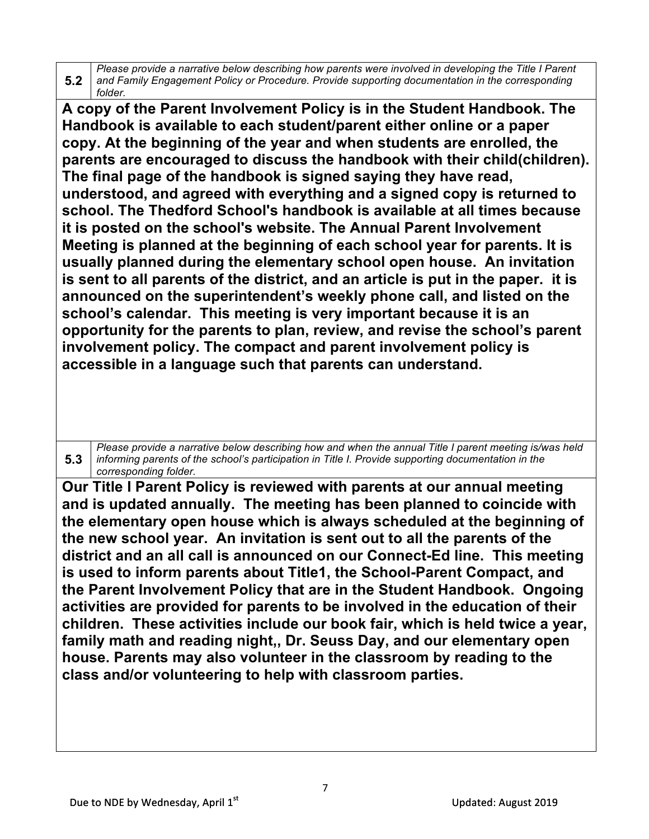**5.2** *Please provide a narrative below describing how parents were involved in developing the Title I Parent and Family Engagement Policy or Procedure. Provide supporting documentation in the corresponding folder.*

**A copy of the Parent Involvement Policy is in the Student Handbook. The Handbook is available to each student/parent either online or a paper copy. At the beginning of the year and when students are enrolled, the parents are encouraged to discuss the handbook with their child(children). The final page of the handbook is signed saying they have read, understood, and agreed with everything and a signed copy is returned to school. The Thedford School's handbook is available at all times because it is posted on the school's website. The Annual Parent Involvement Meeting is planned at the beginning of each school year for parents. It is usually planned during the elementary school open house. An invitation is sent to all parents of the district, and an article is put in the paper. it is announced on the superintendent's weekly phone call, and listed on the school's calendar. This meeting is very important because it is an opportunity for the parents to plan, review, and revise the school's parent involvement policy. The compact and parent involvement policy is accessible in a language such that parents can understand.**

**5.3** *Please provide a narrative below describing how and when the annual Title I parent meeting is/was held informing parents of the school's participation in Title I. Provide supporting documentation in the corresponding folder.*

**Our Title I Parent Policy is reviewed with parents at our annual meeting and is updated annually. The meeting has been planned to coincide with the elementary open house which is always scheduled at the beginning of the new school year. An invitation is sent out to all the parents of the district and an all call is announced on our Connect-Ed line. This meeting is used to inform parents about Title1, the School-Parent Compact, and the Parent Involvement Policy that are in the Student Handbook. Ongoing activities are provided for parents to be involved in the education of their children. These activities include our book fair, which is held twice a year, family math and reading night,, Dr. Seuss Day, and our elementary open house. Parents may also volunteer in the classroom by reading to the class and/or volunteering to help with classroom parties.**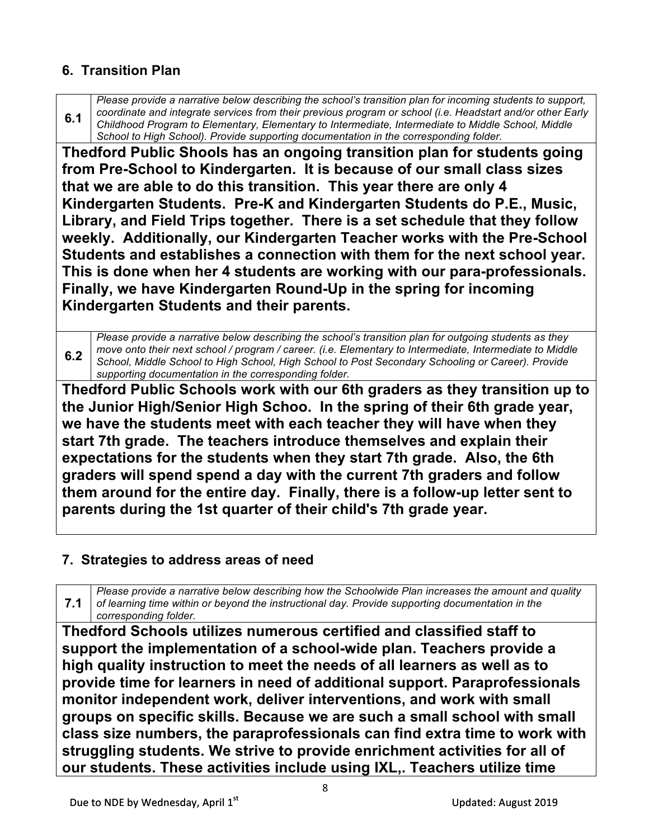### **6. Transition Plan**

**6.1** *Please provide a narrative below describing the school's transition plan for incoming students to support, coordinate and integrate services from their previous program or school (i.e. Headstart and/or other Early Childhood Program to Elementary, Elementary to Intermediate, Intermediate to Middle School, Middle School to High School). Provide supporting documentation in the corresponding folder.*

**Thedford Public Shools has an ongoing transition plan for students going from Pre-School to Kindergarten. It is because of our small class sizes that we are able to do this transition. This year there are only 4 Kindergarten Students. Pre-K and Kindergarten Students do P.E., Music, Library, and Field Trips together. There is a set schedule that they follow weekly. Additionally, our Kindergarten Teacher works with the Pre-School Students and establishes a connection with them for the next school year. This is done when her 4 students are working with our para-professionals. Finally, we have Kindergarten Round-Up in the spring for incoming Kindergarten Students and their parents.**

**6.2** *Please provide a narrative below describing the school's transition plan for outgoing students as they move onto their next school / program / career. (i.e. Elementary to Intermediate, Intermediate to Middle School, Middle School to High School, High School to Post Secondary Schooling or Career). Provide supporting documentation in the corresponding folder.*

**Thedford Public Schools work with our 6th graders as they transition up to the Junior High/Senior High Schoo. In the spring of their 6th grade year, we have the students meet with each teacher they will have when they start 7th grade. The teachers introduce themselves and explain their expectations for the students when they start 7th grade. Also, the 6th graders will spend spend a day with the current 7th graders and follow them around for the entire day. Finally, there is a follow-up letter sent to parents during the 1st quarter of their child's 7th grade year.**

#### **7. Strategies to address areas of need**

**7.1** *Please provide a narrative below describing how the Schoolwide Plan increases the amount and quality of learning time within or beyond the instructional day. Provide supporting documentation in the corresponding folder.*

**Thedford Schools utilizes numerous certified and classified staff to support the implementation of a school-wide plan. Teachers provide a high quality instruction to meet the needs of all learners as well as to provide time for learners in need of additional support. Paraprofessionals monitor independent work, deliver interventions, and work with small groups on specific skills. Because we are such a small school with small class size numbers, the paraprofessionals can find extra time to work with struggling students. We strive to provide enrichment activities for all of our students. These activities include using IXL,. Teachers utilize time**